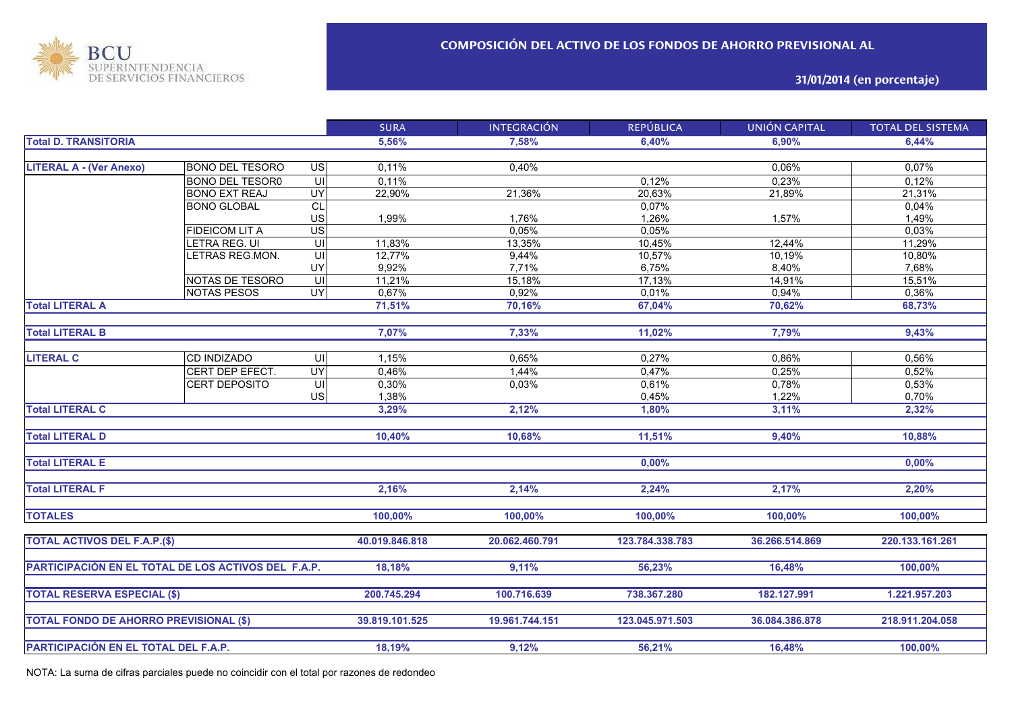

**31/01/2014 (en porcentaje)**

|                                                     |                        |                         | <b>SURA</b>    | <b>INTEGRACIÓN</b> | <b>REPÚBLICA</b> | <b>UNIÓN CAPITAL</b> | <b>TOTAL DEL SISTEMA</b> |
|-----------------------------------------------------|------------------------|-------------------------|----------------|--------------------|------------------|----------------------|--------------------------|
| <b>Total D. TRANSITORIA</b>                         |                        |                         | 5,56%          | 7,58%              | 6,40%            | 6.90%                | 6,44%                    |
|                                                     |                        |                         |                |                    |                  |                      |                          |
| <b>LITERAL A - (Ver Anexo)</b>                      | <b>BONO DEL TESORO</b> | $\overline{S}$          | 0,11%          | 0,40%              |                  | 0,06%                | 0,07%                    |
|                                                     | <b>BONO DEL TESOR0</b> | $\overline{\mathsf{u}}$ | 0,11%          |                    | 0,12%            | 0,23%                | 0,12%                    |
|                                                     | <b>BONO EXT REAJ</b>   | UY                      | 22,90%         | 21,36%             | 20,63%           | 21,89%               | 21,31%                   |
|                                                     | <b>BONO GLOBAL</b>     | <b>CL</b>               |                |                    | 0,07%            |                      | 0,04%                    |
|                                                     |                        | US                      | 1,99%          | 1,76%              | 1,26%            | 1,57%                | 1,49%                    |
|                                                     | <b>FIDEICOM LIT A</b>  | $\overline{US}$         |                | 0.05%              | 0,05%            |                      | 0,03%                    |
|                                                     | LETRA REG. UI          | UI                      | 11,83%         | 13,35%             | 10,45%           | 12,44%               | 11,29%                   |
|                                                     | LETRAS REG.MON.        | UI                      | 12,77%         | 9,44%              | 10,57%           | 10,19%               | 10,80%                   |
|                                                     |                        | UY                      | 9,92%          | 7,71%              | 6,75%            | 8,40%                | 7,68%                    |
|                                                     | NOTAS DE TESORO        | UI                      | 11,21%         | 15,18%             | 17,13%           | 14,91%               | 15,51%                   |
|                                                     | <b>NOTAS PESOS</b>     | $\overline{\mathsf{C}}$ | 0,67%          | 0,92%              | 0,01%            | 0,94%                | 0,36%                    |
| <b>Total LITERAL A</b>                              |                        |                         | 71,51%         | 70,16%             | 67,04%           | 70,62%               | 68,73%                   |
|                                                     |                        |                         |                |                    |                  |                      |                          |
| <b>Total LITERAL B</b>                              |                        |                         | 7,07%          | 7,33%              | 11,02%           | 7,79%                | 9,43%                    |
|                                                     |                        |                         |                |                    |                  |                      |                          |
| <b>LITERAL C</b>                                    | CD INDIZADO            | UI                      | 1,15%          | 0,65%              | 0,27%            | 0,86%                | 0,56%                    |
|                                                     | CERT DEP EFECT.        | $\overline{\mathsf{C}}$ | 0,46%          | 1,44%              | 0,47%            | 0,25%                | 0,52%                    |
|                                                     | <b>CERT DEPOSITO</b>   | UI                      | 0,30%          | 0,03%              | 0,61%            | 0,78%                | 0,53%                    |
|                                                     |                        | <b>US</b>               | 1,38%          |                    | 0,45%            | 1,22%                | 0,70%                    |
| <b>Total LITERAL C</b>                              |                        |                         | 3,29%          | 2,12%              | 1,80%            | 3,11%                | 2,32%                    |
|                                                     |                        |                         |                |                    |                  |                      |                          |
| <b>Total LITERAL D</b>                              |                        |                         | 10,40%         | 10,68%             | 11,51%           | 9,40%                | 10,88%                   |
|                                                     |                        |                         |                |                    |                  |                      |                          |
| <b>Total LITERAL E</b>                              |                        |                         |                |                    | 0,00%            |                      | 0,00%                    |
|                                                     |                        |                         |                |                    |                  |                      |                          |
| <b>Total LITERAL F</b>                              |                        |                         | 2,16%          | 2,14%              | 2,24%            | 2,17%                | 2,20%                    |
|                                                     |                        |                         |                |                    |                  |                      |                          |
| <b>TOTALES</b>                                      |                        |                         | 100,00%        | 100,00%            | 100,00%          | 100,00%              | 100,00%                  |
|                                                     |                        |                         |                |                    |                  |                      |                          |
| <b>TOTAL ACTIVOS DEL F.A.P.(\$)</b>                 |                        |                         | 40.019.846.818 | 20.062.460.791     | 123.784.338.783  | 36.266.514.869       | 220.133.161.261          |
|                                                     |                        |                         |                |                    |                  |                      |                          |
| PARTICIPACIÓN EN EL TOTAL DE LOS ACTIVOS DEL F.A.P. |                        |                         | 18.18%         | 9,11%              | 56,23%           | 16.48%               | 100.00%                  |
|                                                     |                        |                         |                |                    |                  |                      |                          |
| <b>TOTAL RESERVA ESPECIAL (\$)</b>                  |                        |                         | 200.745.294    | 100.716.639        | 738.367.280      | 182.127.991          | 1.221.957.203            |
|                                                     |                        |                         |                |                    |                  |                      |                          |
| <b>TOTAL FONDO DE AHORRO PREVISIONAL (\$)</b>       |                        |                         | 39.819.101.525 | 19.961.744.151     | 123.045.971.503  | 36.084.386.878       | 218.911.204.058          |
|                                                     |                        |                         |                |                    |                  |                      |                          |
|                                                     |                        |                         | 18,19%         | 9,12%              | 56,21%           | 16,48%               | 100,00%                  |
| PARTICIPACIÓN EN EL TOTAL DEL F.A.P.                |                        |                         |                |                    |                  |                      |                          |

NOTA: La suma de cifras parciales puede no coincidir con el total por razones de redondeo